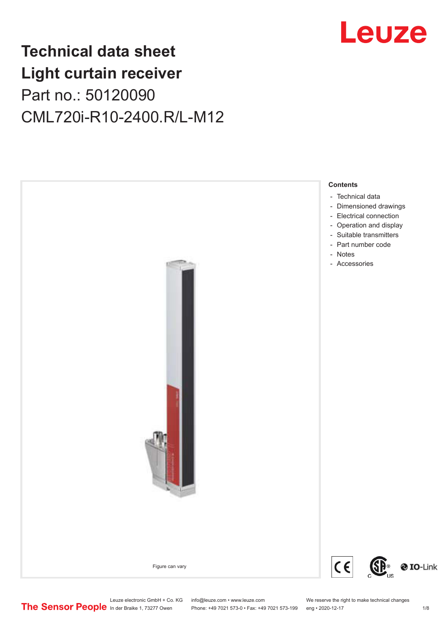## **Technical data sheet Light curtain receiver** Part no.: 50120090 CML720i-R10-2400.R/L-M12



## Leuze electronic GmbH + Co. KG info@leuze.com • www.leuze.com We reserve the right to make technical changes<br>
The Sensor People in der Braike 1, 73277 Owen Phone: +49 7021 573-0 • Fax: +49 7021 573-199 eng • 2020-12-17

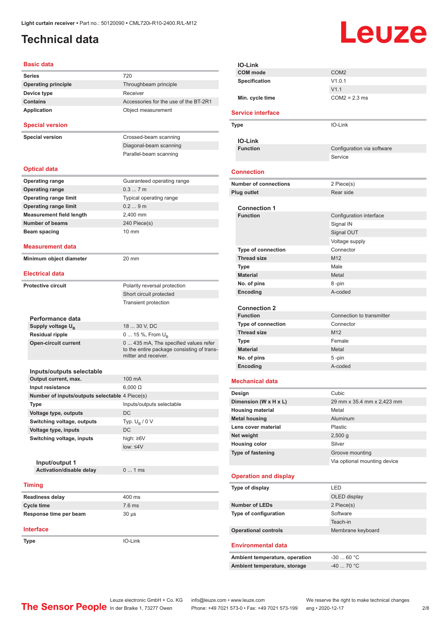## <span id="page-1-0"></span>**Technical data**

# Leuze

#### **Basic data Series** 720 **Operating principle** Throughbeam principle **Device type** Receiver **Contains Contains Accessories** for the use of the BT-2R1 **Application** Object measurement **Special version Special version** Crossed-beam scanning Diagonal-beam scanning Parallel-beam scanning **Optical data Operating range** Guaranteed operating range **Operating range** 0.3 ... 7 m **Operating range limit** Typical operating range **Operating range limit** 0.2 ... 9 m **Measurement field length** 2,400 mm **Number of beams** 240 Piece(s) **Beam spacing 10 mm Measurement data Minimum object diameter** 20 mm **Electrical data Protective circuit** Polarity reversal protection Short circuit protected Transient protection **Performance data** Supply voltage  $U_{\text{B}}$ 18 ... 30 V, DC **Residual ripple** 0 ... 15 %, From U<sub>B</sub> **Open-circuit current** 0 ... 435 mA, The specified values refer to the entire package consisting of transmitter and receiver. **Inputs/outputs selectable Output current, max.** 100 mA **Input resistance** 6,000 Ω **Number of inputs/outputs selectable** 4 Piece(s) **Type** Inputs/outputs selectable **Voltage type, outputs** DC **Switching voltage, outputs** Typ.  $U_B / 0 V$ **Voltage type, inputs** DC **Switching voltage, inputs** high: ≥6V low: ≤4V **Input/output 1 Activation/disable delay** 0 ... 1 ms **Timing Readiness delay** 400 ms **Cycle time** 7.6 ms **Response time per beam** 30 µs

**Interface**

**Type** IO-Link

**IO-Link COM mode** COM2 **Specification** V1.0.1 V1.1 **Min. cycle time** COM2 = 2.3 ms **Service interface Type** IO-Link **IO-Link Configuration** via software **Service Connection Number of connections** 2 Piece(s) **Plug outlet** Rear side **Connection 1 Function** Configuration interface Signal IN Signal OUT Voltage supply **Type of connection** Connector **Thread size** M12 **Type Male Material** Metal **No. of pins** 8 -pin **Encoding** A-coded **Connection 2 Function** Connection to transmitter **Type of connection** Connector **Thread size** M12 **Type** Female **Material** Metal **No. of pins** 5 -pin **Encoding** A-coded **Mechanical data Design Cubic Dimension (W x H x L)** 29 mm x 35.4 mm x 2,423 mm **Housing material** Metal **Metal housing Aluminum Lens cover material** Plastic **Net weight** 2,500 g **Housing color** Silver **Type of fastening** Groove mounting Via optional mounting device **Operation and display Type of display** LED OLED display **Number of LEDs** 2 Piece(s) **Type of configuration** Software Teach-in **Operational controls** Membrane keyboard **Environmental data** Ambient temperature, operation  $-30...60$  °C **Ambient temperature, storage** -40 ... 70 °C

Leuze electronic GmbH + Co. KG info@leuze.com • www.leuze.com We reserve the right to make technical changes<br>
The Sensor People in der Braike 1, 73277 Owen Phone: +49 7021 573-0 • Fax: +49 7021 573-199 eng • 2020-12-17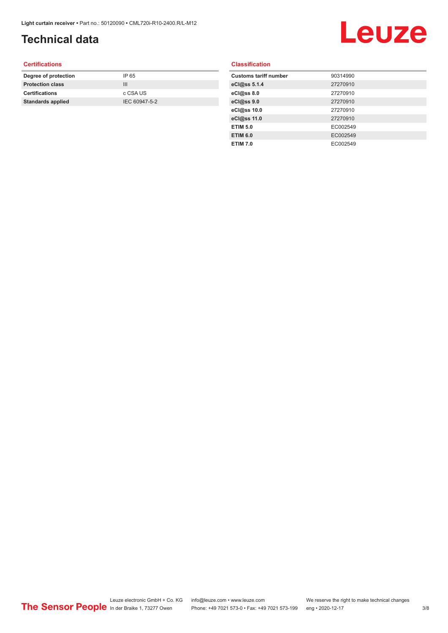## **Technical data**

# Leuze

#### **Certifications**

| Degree of protection     | IP 65         |
|--------------------------|---------------|
| <b>Protection class</b>  | Ш             |
| <b>Certifications</b>    | c CSA US      |
| <b>Standards applied</b> | IEC 60947-5-2 |
|                          |               |

#### **Classification**

| <b>Customs tariff number</b> | 90314990 |
|------------------------------|----------|
| eCl@ss 5.1.4                 | 27270910 |
| eCl@ss 8.0                   | 27270910 |
| eCl@ss 9.0                   | 27270910 |
| eCl@ss 10.0                  | 27270910 |
| eCl@ss 11.0                  | 27270910 |
| <b>ETIM 5.0</b>              | EC002549 |
| <b>ETIM 6.0</b>              | EC002549 |
| <b>ETIM 7.0</b>              | EC002549 |
|                              |          |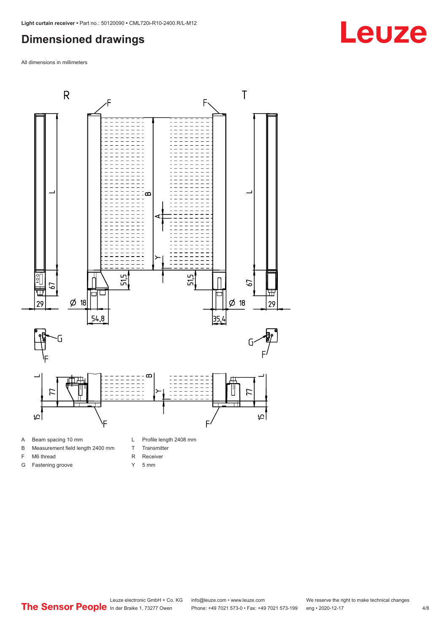## <span id="page-3-0"></span>**Dimensioned drawings**

All dimensions in millimeters



- 
- B Measurement field length 2400 mm
- F M6 thread

G Fastening groove

- 
- R Receiver
- Y 5 mm

T Transmitter

Leuze electronic GmbH + Co. KG info@leuze.com • www.leuze.com We reserve the right to make technical changes<br>
The Sensor People in der Braike 1, 73277 Owen Phone: +49 7021 573-0 • Fax: +49 7021 573-199 eng • 2020-12-17 Phone: +49 7021 573-0 • Fax: +49 7021 573-199 eng • 2020-12-17

# **Leuze**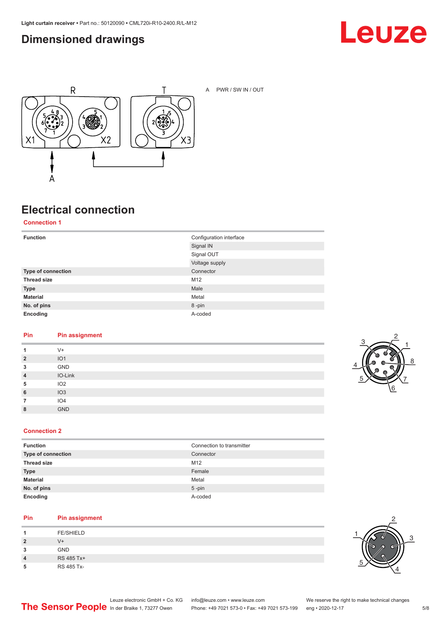## <span id="page-4-0"></span>**Dimensioned drawings**





A PWR / SW IN / OUT

## **Electrical connection**

**Connection 1**

| <b>Function</b>    | Configuration interface<br>Signal IN |
|--------------------|--------------------------------------|
|                    | Signal OUT                           |
|                    | Voltage supply                       |
| Type of connection | Connector                            |
| <b>Thread size</b> | M12                                  |
| <b>Type</b>        | Male                                 |
| <b>Material</b>    | Metal                                |
| No. of pins        | 8-pin                                |
| Encoding           | A-coded                              |

#### **Pin Pin assignment**

| 1              | $V +$           |
|----------------|-----------------|
| $\overline{2}$ | IO1             |
| 3              | GND             |
| $\overline{4}$ | IO-Link         |
| 5              | IO2             |
| 6              | IO3             |
|                | IO <sub>4</sub> |
| 8              | <b>GND</b>      |



#### **Connection 2**

| <b>Function</b>    | Connection to transmitter |
|--------------------|---------------------------|
| Type of connection | Connector                 |
| <b>Thread size</b> | M <sub>12</sub>           |
| <b>Type</b>        | Female                    |
| <b>Material</b>    | Metal                     |
| No. of pins        | $5$ -pin                  |
| Encoding           | A-coded                   |

#### **Pin Pin assignment**

|   | <b>FE/SHIELD</b> |
|---|------------------|
| 2 | $V +$            |
| 3 | <b>GND</b>       |
| 4 | RS 485 Tx+       |
| 5 | RS 485 Tx-       |

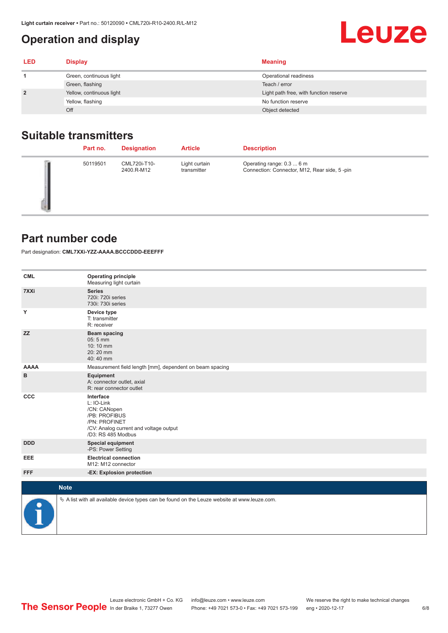## <span id="page-5-0"></span>**Operation and display**

#### **LED Display Meaning 1** Green, continuous light **Continuous Continuous Continuous Continuous Continuous Continuous Continuous Continuous Continuous Continuous Continuous Continuous Continuous Continuous Continuous Continuous Continuous Contin** Green, flashing Teach / error **2** Yellow, continuous light **Network Continuous and Continuous Continuous Continuous Continuous Continuous Continuous Continuous Continuous Continuous Continuous Continuous Continuous Continuous Continuous Continuous Cont** Yellow, flashing No function reserve the No function reserve the No function reserve Off **Object detected**

## **Suitable transmitters**

| Part no. | <b>Designation</b>         | <b>Article</b>               | <b>Description</b>                                                        |
|----------|----------------------------|------------------------------|---------------------------------------------------------------------------|
| 50119501 | CML720i-T10-<br>2400.R-M12 | Light curtain<br>transmitter | Operating range: 0.3  6 m<br>Connection: Connector, M12, Rear side, 5-pin |

## **Part number code**

Part designation: **CML7XXi-YZZ-AAAA.BCCCDDD-EEEFFF**

| <b>CML</b>  | <b>Operating principle</b><br>Measuring light curtain                                                                                     |  |  |
|-------------|-------------------------------------------------------------------------------------------------------------------------------------------|--|--|
| 7XXi        | <b>Series</b><br>720i: 720i series<br>730i: 730i series                                                                                   |  |  |
| Υ           | Device type<br>T: transmitter<br>R: receiver                                                                                              |  |  |
| <b>ZZ</b>   | <b>Beam spacing</b><br>$05:5$ mm<br>10:10 mm<br>20:20 mm<br>40:40 mm                                                                      |  |  |
| <b>AAAA</b> | Measurement field length [mm], dependent on beam spacing                                                                                  |  |  |
| в           | Equipment<br>A: connector outlet, axial<br>R: rear connector outlet                                                                       |  |  |
| CCC         | Interface<br>L: IO-Link<br>/CN: CANopen<br>/PB: PROFIBUS<br>/PN: PROFINET<br>/CV: Analog current and voltage output<br>/D3: RS 485 Modbus |  |  |
| <b>DDD</b>  | <b>Special equipment</b><br>-PS: Power Setting                                                                                            |  |  |
| <b>EEE</b>  | <b>Electrical connection</b><br>M12: M12 connector                                                                                        |  |  |
| <b>FFF</b>  | -EX: Explosion protection                                                                                                                 |  |  |
|             | <b>Note</b>                                                                                                                               |  |  |
| P           | $\&$ A list with all available device types can be found on the Leuze website at www.leuze.com.                                           |  |  |

Leuze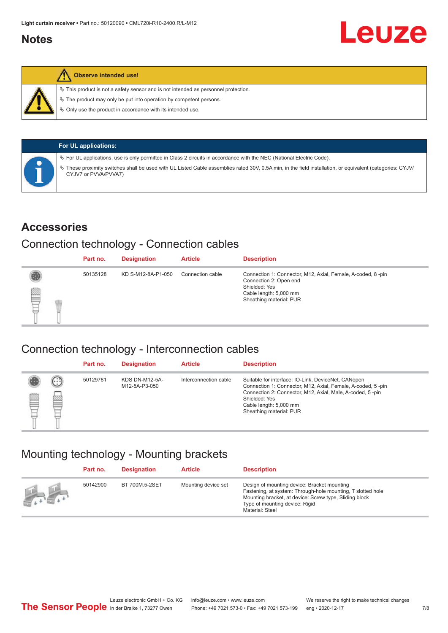## <span id="page-6-0"></span>**Notes**



#### **Observe intended use!**

 $\%$  This product is not a safety sensor and is not intended as personnel protection.

 $\%$  The product may only be put into operation by competent persons.

 $\%$  Only use the product in accordance with its intended use.

| <b>For UL applications:</b>                                                                                                                                                       |
|-----------------------------------------------------------------------------------------------------------------------------------------------------------------------------------|
| $\%$ For UL applications, use is only permitted in Class 2 circuits in accordance with the NEC (National Electric Code).                                                          |
| V These proximity switches shall be used with UL Listed Cable assemblies rated 30V, 0.5A min, in the field installation, or equivalent (categories: CYJV/<br>CYJV7 or PVVA/PVVA7) |

### **Accessories**

## Connection technology - Connection cables

|   | Part no. | <b>Designation</b> | <b>Article</b>   | <b>Description</b>                                                                                                                                          |
|---|----------|--------------------|------------------|-------------------------------------------------------------------------------------------------------------------------------------------------------------|
| § | 50135128 | KD S-M12-8A-P1-050 | Connection cable | Connection 1: Connector, M12, Axial, Female, A-coded, 8-pin<br>Connection 2: Open end<br>Shielded: Yes<br>Cable length: 5,000 mm<br>Sheathing material: PUR |

### Connection technology - Interconnection cables

|   |               | Part no. | <b>Designation</b>                     | <b>Article</b>        | <b>Description</b>                                                                                                                                                                                                                                    |
|---|---------------|----------|----------------------------------------|-----------------------|-------------------------------------------------------------------------------------------------------------------------------------------------------------------------------------------------------------------------------------------------------|
| ▤ | $\cdots$<br>Þ | 50129781 | <b>KDS DN-M12-5A-</b><br>M12-5A-P3-050 | Interconnection cable | Suitable for interface: IO-Link, DeviceNet, CANopen<br>Connection 1: Connector, M12, Axial, Female, A-coded, 5-pin<br>Connection 2: Connector, M12, Axial, Male, A-coded, 5-pin<br>Shielded: Yes<br>Cable length: 5,000 mm<br>Sheathing material: PUR |

## Mounting technology - Mounting brackets

|                                               | Part no. | <b>Designation</b> | <b>Article</b>      | <b>Description</b>                                                                                                                                                                                                        |
|-----------------------------------------------|----------|--------------------|---------------------|---------------------------------------------------------------------------------------------------------------------------------------------------------------------------------------------------------------------------|
| $\frac{1}{2}$ , $\frac{1}{2}$ , $\frac{1}{2}$ | 50142900 | BT 700M.5-2SET     | Mounting device set | Design of mounting device: Bracket mounting<br>Fastening, at system: Through-hole mounting, T slotted hole<br>Mounting bracket, at device: Screw type, Sliding block<br>Type of mounting device: Rigid<br>Material: Steel |

Leuze